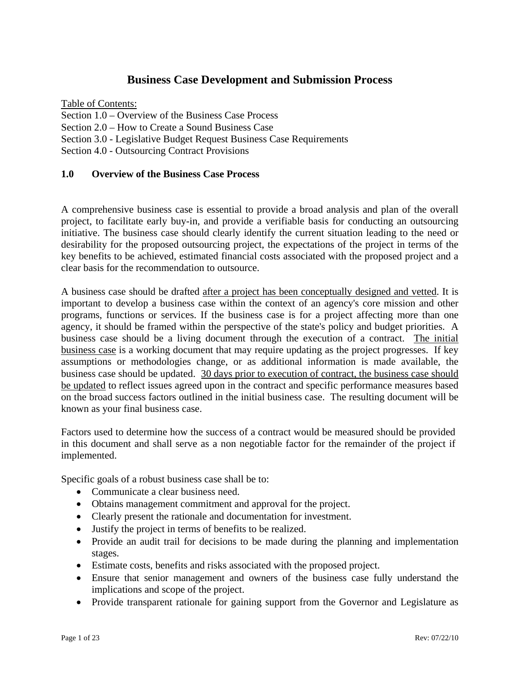# **Business Case Development and Submission Process**

Table of Contents: Section 1.0 – Overview of the Business Case Process Section 2.0 – How to Create a Sound Business Case Section 3.0 - Legislative Budget Request Business Case Requirements Section 4.0 - Outsourcing Contract Provisions

### **1.0 Overview of the Business Case Process**

A comprehensive business case is essential to provide a broad analysis and plan of the overall project, to facilitate early buy-in, and provide a verifiable basis for conducting an outsourcing initiative. The business case should clearly identify the current situation leading to the need or desirability for the proposed outsourcing project, the expectations of the project in terms of the key benefits to be achieved, estimated financial costs associated with the proposed project and a clear basis for the recommendation to outsource.

A business case should be drafted after a project has been conceptually designed and vetted. It is important to develop a business case within the context of an agency's core mission and other programs, functions or services. If the business case is for a project affecting more than one agency, it should be framed within the perspective of the state's policy and budget priorities. A business case should be a living document through the execution of a contract. The initial business case is a working document that may require updating as the project progresses. If key assumptions or methodologies change, or as additional information is made available, the business case should be updated. 30 days prior to execution of contract, the business case should be updated to reflect issues agreed upon in the contract and specific performance measures based on the broad success factors outlined in the initial business case. The resulting document will be known as your final business case.

Factors used to determine how the success of a contract would be measured should be provided in this document and shall serve as a non negotiable factor for the remainder of the project if implemented.

Specific goals of a robust business case shall be to:

- Communicate a clear business need.
- Obtains management commitment and approval for the project.
- Clearly present the rationale and documentation for investment.
- Justify the project in terms of benefits to be realized.
- Provide an audit trail for decisions to be made during the planning and implementation stages.
- Estimate costs, benefits and risks associated with the proposed project.
- Ensure that senior management and owners of the business case fully understand the implications and scope of the project.
- Provide transparent rationale for gaining support from the Governor and Legislature as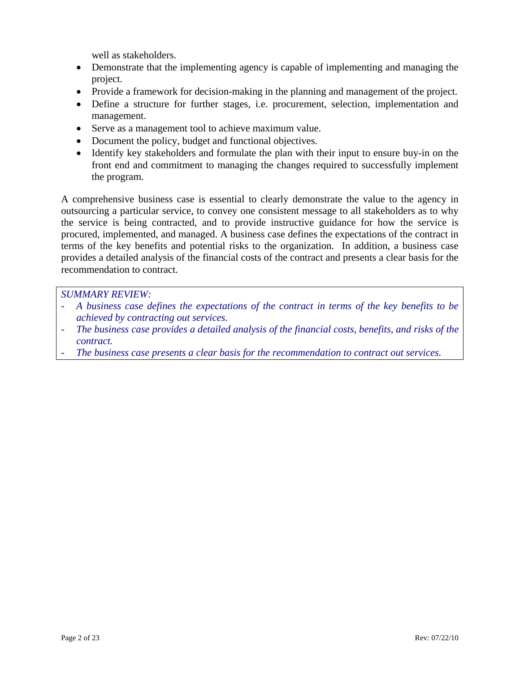well as stakeholders.

- Demonstrate that the implementing agency is capable of implementing and managing the project.
- Provide a framework for decision-making in the planning and management of the project.
- Define a structure for further stages, i.e. procurement, selection, implementation and management.
- Serve as a management tool to achieve maximum value.
- Document the policy, budget and functional objectives.
- Identify key stakeholders and formulate the plan with their input to ensure buy-in on the front end and commitment to managing the changes required to successfully implement the program.

A comprehensive business case is essential to clearly demonstrate the value to the agency in outsourcing a particular service, to convey one consistent message to all stakeholders as to why the service is being contracted, and to provide instructive guidance for how the service is procured, implemented, and managed. A business case defines the expectations of the contract in terms of the key benefits and potential risks to the organization. In addition, a business case provides a detailed analysis of the financial costs of the contract and presents a clear basis for the recommendation to contract.

- *A business case defines the expectations of the contract in terms of the key benefits to be achieved by contracting out services.*
- *The business case provides a detailed analysis of the financial costs, benefits, and risks of the contract.*
- The business case presents a clear basis for the recommendation to contract out services.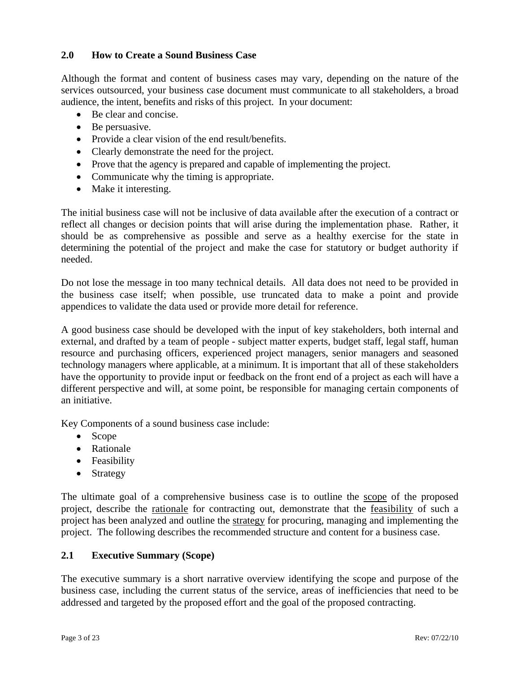### **2.0 How to Create a Sound Business Case**

Although the format and content of business cases may vary, depending on the nature of the services outsourced, your business case document must communicate to all stakeholders, a broad audience, the intent, benefits and risks of this project. In your document:

- Be clear and concise.
- Be persuasive.
- Provide a clear vision of the end result/benefits.
- Clearly demonstrate the need for the project.
- Prove that the agency is prepared and capable of implementing the project.
- Communicate why the timing is appropriate.
- Make it interesting.

The initial business case will not be inclusive of data available after the execution of a contract or reflect all changes or decision points that will arise during the implementation phase. Rather, it should be as comprehensive as possible and serve as a healthy exercise for the state in determining the potential of the project and make the case for statutory or budget authority if needed.

Do not lose the message in too many technical details. All data does not need to be provided in the business case itself; when possible, use truncated data to make a point and provide appendices to validate the data used or provide more detail for reference.

A good business case should be developed with the input of key stakeholders, both internal and external, and drafted by a team of people - subject matter experts, budget staff, legal staff, human resource and purchasing officers, experienced project managers, senior managers and seasoned technology managers where applicable, at a minimum. It is important that all of these stakeholders have the opportunity to provide input or feedback on the front end of a project as each will have a different perspective and will, at some point, be responsible for managing certain components of an initiative.

Key Components of a sound business case include:

- Scope
- Rationale
- Feasibility
- Strategy

The ultimate goal of a comprehensive business case is to outline the scope of the proposed project, describe the rationale for contracting out, demonstrate that the feasibility of such a project has been analyzed and outline the strategy for procuring, managing and implementing the project. The following describes the recommended structure and content for a business case.

### **2.1 Executive Summary (Scope)**

The executive summary is a short narrative overview identifying the scope and purpose of the business case, including the current status of the service, areas of inefficiencies that need to be addressed and targeted by the proposed effort and the goal of the proposed contracting.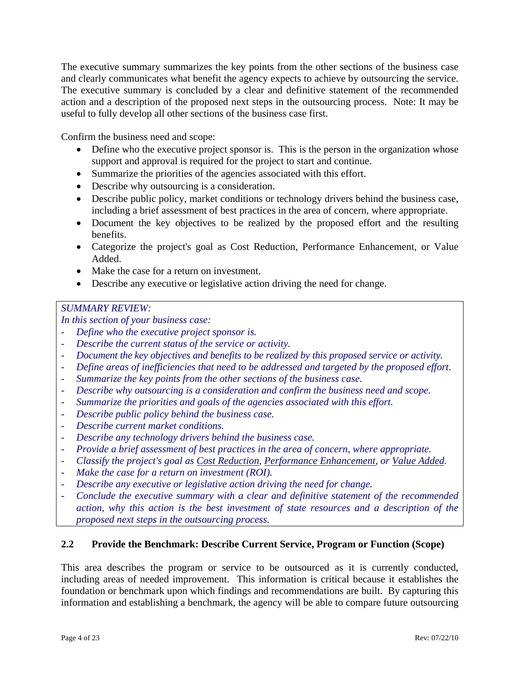The executive summary summarizes the key points from the other sections of the business case and clearly communicates what benefit the agency expects to achieve by outsourcing the service. The executive summary is concluded by a clear and definitive statement of the recommended action and a description of the proposed next steps in the outsourcing process. Note: It may be useful to fully develop all other sections of the business case first.

Confirm the business need and scope:

- Define who the executive project sponsor is. This is the person in the organization whose support and approval is required for the project to start and continue.
- Summarize the priorities of the agencies associated with this effort.
- Describe why outsourcing is a consideration.
- Describe public policy, market conditions or technology drivers behind the business case, including a brief assessment of best practices in the area of concern, where appropriate.
- Document the key objectives to be realized by the proposed effort and the resulting benefits.
- Categorize the project's goal as Cost Reduction, Performance Enhancement, or Value Added.
- Make the case for a return on investment.
- Describe any executive or legislative action driving the need for change.

# *SUMMARY REVIEW:*

*In this section of your business case:* 

- Define who the executive project sponsor is.
- *Describe the current status of the service or activity.*
- *Document the key objectives and benefits to be realized by this proposed service or activity.*
- *Define areas of inefficiencies that need to be addressed and targeted by the proposed effort.*
- Summarize the key points from the other sections of the business case.
- *Describe why outsourcing is a consideration and confirm the business need and scope.*
- *Summarize the priorities and goals of the agencies associated with this effort.*
- *Describe public policy behind the business case.*
- *Describe current market conditions.*
- *Describe any technology drivers behind the business case.*
- *Provide a brief assessment of best practices in the area of concern, where appropriate.*
- *Classify the project's goal as Cost Reduction, Performance Enhancement, or Value Added.*
- *Make the case for a return on investment (ROI).*
- *Describe any executive or legislative action driving the need for change.*
- *Conclude the executive summary with a clear and definitive statement of the recommended action, why this action is the best investment of state resources and a description of the proposed next steps in the outsourcing process.*

# **2.2 Provide the Benchmark: Describe Current Service, Program or Function (Scope)**

This area describes the program or service to be outsourced as it is currently conducted, including areas of needed improvement. This information is critical because it establishes the foundation or benchmark upon which findings and recommendations are built. By capturing this information and establishing a benchmark, the agency will be able to compare future outsourcing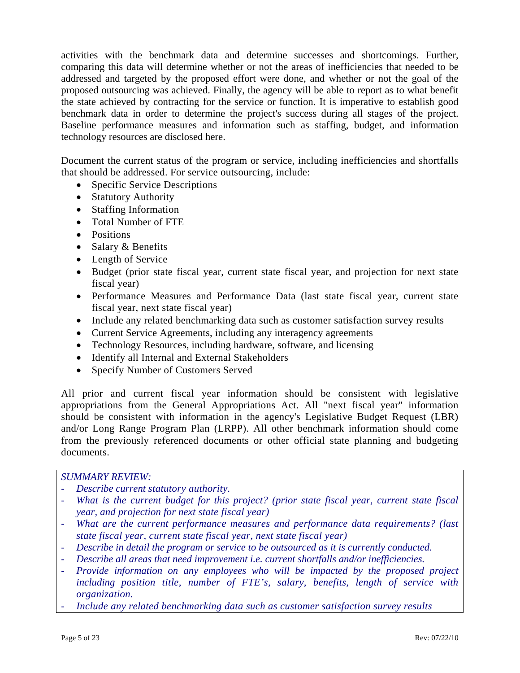activities with the benchmark data and determine successes and shortcomings. Further, comparing this data will determine whether or not the areas of inefficiencies that needed to be addressed and targeted by the proposed effort were done, and whether or not the goal of the proposed outsourcing was achieved. Finally, the agency will be able to report as to what benefit the state achieved by contracting for the service or function. It is imperative to establish good benchmark data in order to determine the project's success during all stages of the project. Baseline performance measures and information such as staffing, budget, and information technology resources are disclosed here.

Document the current status of the program or service, including inefficiencies and shortfalls that should be addressed. For service outsourcing, include:

- Specific Service Descriptions
- Statutory Authority
- Staffing Information
- Total Number of FTE
- Positions
- Salary & Benefits
- Length of Service
- Budget (prior state fiscal year, current state fiscal year, and projection for next state fiscal year)
- Performance Measures and Performance Data (last state fiscal year, current state fiscal year, next state fiscal year)
- Include any related benchmarking data such as customer satisfaction survey results
- Current Service Agreements, including any interagency agreements
- Technology Resources, including hardware, software, and licensing
- Identify all Internal and External Stakeholders
- Specify Number of Customers Served

All prior and current fiscal year information should be consistent with legislative appropriations from the General Appropriations Act. All "next fiscal year" information should be consistent with information in the agency's Legislative Budget Request (LBR) and/or Long Range Program Plan (LRPP). All other benchmark information should come from the previously referenced documents or other official state planning and budgeting documents.

- *Describe current statutory authority.*
- What is the current budget for this project? (prior state fiscal year, current state fiscal *year, and projection for next state fiscal year)*
- *What are the current performance measures and performance data requirements? (last state fiscal year, current state fiscal year, next state fiscal year)*
- *Describe in detail the program or service to be outsourced as it is currently conducted.*
- *Describe all areas that need improvement i.e. current shortfalls and/or inefficiencies.*
- *Provide information on any employees who will be impacted by the proposed project including position title, number of FTE's, salary, benefits, length of service with organization.*
- *Include any related benchmarking data such as customer satisfaction survey results*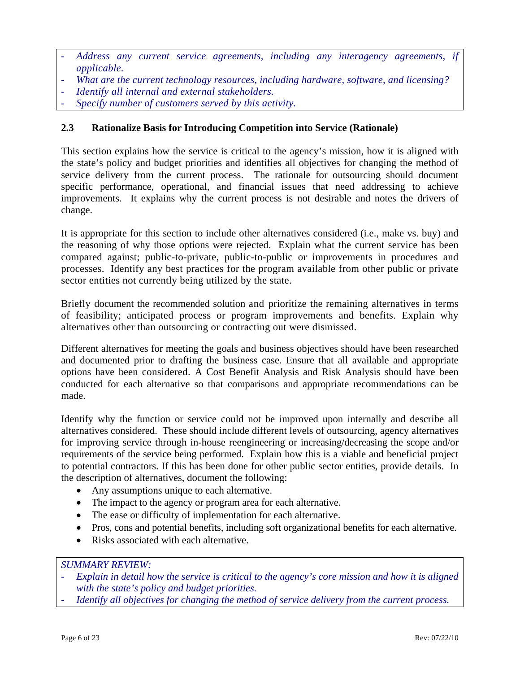- *Address any current service agreements, including any interagency agreements, if applicable.*
- *What are the current technology resources, including hardware, software, and licensing?*
- *Identify all internal and external stakeholders.*
- *Specify number of customers served by this activity.*

# **2.3 Rationalize Basis for Introducing Competition into Service (Rationale)**

This section explains how the service is critical to the agency's mission, how it is aligned with the state's policy and budget priorities and identifies all objectives for changing the method of service delivery from the current process. The rationale for outsourcing should document specific performance, operational, and financial issues that need addressing to achieve improvements. It explains why the current process is not desirable and notes the drivers of change.

It is appropriate for this section to include other alternatives considered (i.e., make vs. buy) and the reasoning of why those options were rejected. Explain what the current service has been compared against; public-to-private, public-to-public or improvements in procedures and processes. Identify any best practices for the program available from other public or private sector entities not currently being utilized by the state.

Briefly document the recommended solution and prioritize the remaining alternatives in terms of feasibility; anticipated process or program improvements and benefits. Explain why alternatives other than outsourcing or contracting out were dismissed.

Different alternatives for meeting the goals and business objectives should have been researched and documented prior to drafting the business case. Ensure that all available and appropriate options have been considered. A Cost Benefit Analysis and Risk Analysis should have been conducted for each alternative so that comparisons and appropriate recommendations can be made.

Identify why the function or service could not be improved upon internally and describe all alternatives considered. These should include different levels of outsourcing, agency alternatives for improving service through in-house reengineering or increasing/decreasing the scope and/or requirements of the service being performed. Explain how this is a viable and beneficial project to potential contractors. If this has been done for other public sector entities, provide details. In the description of alternatives, document the following:

- Any assumptions unique to each alternative.
- The impact to the agency or program area for each alternative.
- The ease or difficulty of implementation for each alternative.
- Pros, cons and potential benefits, including soft organizational benefits for each alternative.
- Risks associated with each alternative.

- *Explain in detail how the service is critical to the agency's core mission and how it is aligned with the state's policy and budget priorities.*
- *Identify all objectives for changing the method of service delivery from the current process.*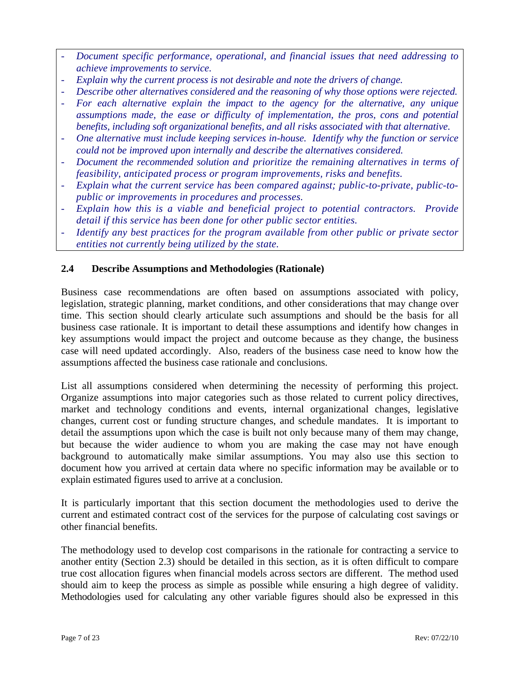- *Document specific performance, operational, and financial issues that need addressing to achieve improvements to service.*
- *Explain why the current process is not desirable and note the drivers of change.*
- *Describe other alternatives considered and the reasoning of why those options were rejected.*
- *For each alternative explain the impact to the agency for the alternative, any unique assumptions made, the ease or difficulty of implementation, the pros, cons and potential benefits, including soft organizational benefits, and all risks associated with that alternative.*
- *One alternative must include keeping services in-house. Identify why the function or service could not be improved upon internally and describe the alternatives considered.*
- *Document the recommended solution and prioritize the remaining alternatives in terms of feasibility, anticipated process or program improvements, risks and benefits.*
- Explain what the current service has been compared against; public-to-private, public-to*public or improvements in procedures and processes.*
- *Explain how this is a viable and beneficial project to potential contractors. Provide detail if this service has been done for other public sector entities.*
- *Identify any best practices for the program available from other public or private sector entities not currently being utilized by the state.*

### **2.4 Describe Assumptions and Methodologies (Rationale)**

Business case recommendations are often based on assumptions associated with policy, legislation, strategic planning, market conditions, and other considerations that may change over time. This section should clearly articulate such assumptions and should be the basis for all business case rationale. It is important to detail these assumptions and identify how changes in key assumptions would impact the project and outcome because as they change, the business case will need updated accordingly. Also, readers of the business case need to know how the assumptions affected the business case rationale and conclusions.

List all assumptions considered when determining the necessity of performing this project. Organize assumptions into major categories such as those related to current policy directives, market and technology conditions and events, internal organizational changes, legislative changes, current cost or funding structure changes, and schedule mandates. It is important to detail the assumptions upon which the case is built not only because many of them may change, but because the wider audience to whom you are making the case may not have enough background to automatically make similar assumptions. You may also use this section to document how you arrived at certain data where no specific information may be available or to explain estimated figures used to arrive at a conclusion.

It is particularly important that this section document the methodologies used to derive the current and estimated contract cost of the services for the purpose of calculating cost savings or other financial benefits.

The methodology used to develop cost comparisons in the rationale for contracting a service to another entity (Section 2.3) should be detailed in this section, as it is often difficult to compare true cost allocation figures when financial models across sectors are different. The method used should aim to keep the process as simple as possible while ensuring a high degree of validity. Methodologies used for calculating any other variable figures should also be expressed in this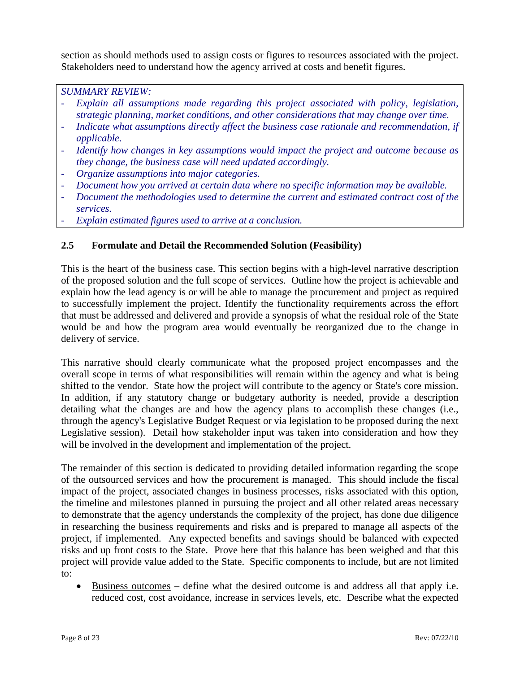section as should methods used to assign costs or figures to resources associated with the project. Stakeholders need to understand how the agency arrived at costs and benefit figures.

### *SUMMARY REVIEW:*

- Explain all assumptions made regarding this project associated with policy, legislation, *strategic planning, market conditions, and other considerations that may change over time.*
- *Indicate what assumptions directly affect the business case rationale and recommendation, if applicable.*
- *Identify how changes in key assumptions would impact the project and outcome because as they change, the business case will need updated accordingly.*
- *Organize assumptions into major categories.*
- *Document how you arrived at certain data where no specific information may be available.*
- *Document the methodologies used to determine the current and estimated contract cost of the services.*
- Explain estimated figures used to arrive at a conclusion.

# **2.5 Formulate and Detail the Recommended Solution (Feasibility)**

This is the heart of the business case. This section begins with a high-level narrative description of the proposed solution and the full scope of services. Outline how the project is achievable and explain how the lead agency is or will be able to manage the procurement and project as required to successfully implement the project. Identify the functionality requirements across the effort that must be addressed and delivered and provide a synopsis of what the residual role of the State would be and how the program area would eventually be reorganized due to the change in delivery of service.

This narrative should clearly communicate what the proposed project encompasses and the overall scope in terms of what responsibilities will remain within the agency and what is being shifted to the vendor. State how the project will contribute to the agency or State's core mission. In addition, if any statutory change or budgetary authority is needed, provide a description detailing what the changes are and how the agency plans to accomplish these changes (i.e., through the agency's Legislative Budget Request or via legislation to be proposed during the next Legislative session). Detail how stakeholder input was taken into consideration and how they will be involved in the development and implementation of the project.

The remainder of this section is dedicated to providing detailed information regarding the scope of the outsourced services and how the procurement is managed. This should include the fiscal impact of the project, associated changes in business processes, risks associated with this option, the timeline and milestones planned in pursuing the project and all other related areas necessary to demonstrate that the agency understands the complexity of the project, has done due diligence in researching the business requirements and risks and is prepared to manage all aspects of the project, if implemented. Any expected benefits and savings should be balanced with expected risks and up front costs to the State. Prove here that this balance has been weighed and that this project will provide value added to the State. Specific components to include, but are not limited to:

• Business outcomes – define what the desired outcome is and address all that apply i.e. reduced cost, cost avoidance, increase in services levels, etc. Describe what the expected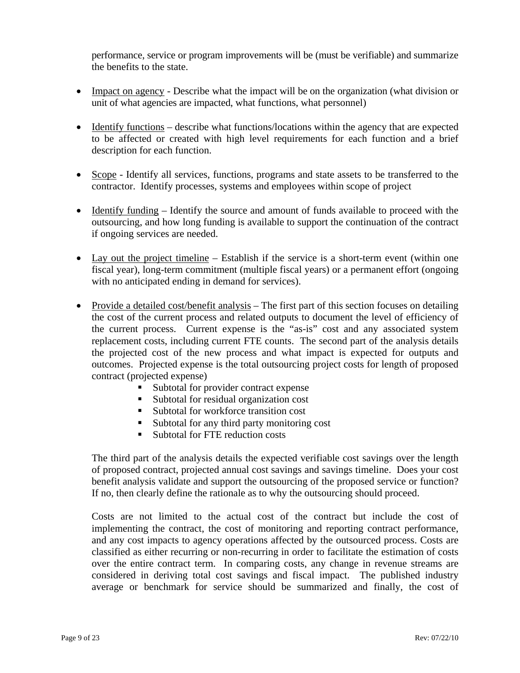performance, service or program improvements will be (must be verifiable) and summarize the benefits to the state.

- Impact on agency Describe what the impact will be on the organization (what division or unit of what agencies are impacted, what functions, what personnel)
- Identify functions describe what functions/locations within the agency that are expected to be affected or created with high level requirements for each function and a brief description for each function.
- Scope Identify all services, functions, programs and state assets to be transferred to the contractor. Identify processes, systems and employees within scope of project
- Identify funding Identify the source and amount of funds available to proceed with the outsourcing, and how long funding is available to support the continuation of the contract if ongoing services are needed.
- Lay out the project timeline Establish if the service is a short-term event (within one fiscal year), long-term commitment (multiple fiscal years) or a permanent effort (ongoing with no anticipated ending in demand for services).
- Provide a detailed cost/benefit analysis The first part of this section focuses on detailing the cost of the current process and related outputs to document the level of efficiency of the current process. Current expense is the "as-is" cost and any associated system replacement costs, including current FTE counts. The second part of the analysis details the projected cost of the new process and what impact is expected for outputs and outcomes. Projected expense is the total outsourcing project costs for length of proposed contract (projected expense)
	- Subtotal for provider contract expense
	- Subtotal for residual organization cost
	- Subtotal for workforce transition cost
	- Subtotal for any third party monitoring cost
	- Subtotal for FTE reduction costs

The third part of the analysis details the expected verifiable cost savings over the length of proposed contract, projected annual cost savings and savings timeline. Does your cost benefit analysis validate and support the outsourcing of the proposed service or function? If no, then clearly define the rationale as to why the outsourcing should proceed.

Costs are not limited to the actual cost of the contract but include the cost of implementing the contract, the cost of monitoring and reporting contract performance, and any cost impacts to agency operations affected by the outsourced process. Costs are classified as either recurring or non-recurring in order to facilitate the estimation of costs over the entire contract term. In comparing costs, any change in revenue streams are considered in deriving total cost savings and fiscal impact. The published industry average or benchmark for service should be summarized and finally, the cost of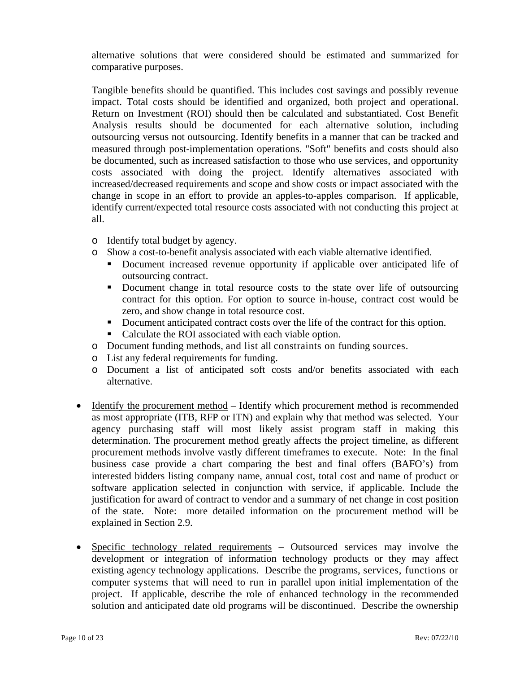alternative solutions that were considered should be estimated and summarized for comparative purposes.

Tangible benefits should be quantified. This includes cost savings and possibly revenue impact. Total costs should be identified and organized, both project and operational. Return on Investment (ROI) should then be calculated and substantiated. Cost Benefit Analysis results should be documented for each alternative solution, including outsourcing versus not outsourcing. Identify benefits in a manner that can be tracked and measured through post-implementation operations. "Soft" benefits and costs should also be documented, such as increased satisfaction to those who use services, and opportunity costs associated with doing the project. Identify alternatives associated with increased/decreased requirements and scope and show costs or impact associated with the change in scope in an effort to provide an apples-to-apples comparison. If applicable, identify current/expected total resource costs associated with not conducting this project at all.

- o Identify total budget by agency.
- o Show a cost-to-benefit analysis associated with each viable alternative identified.
	- Document increased revenue opportunity if applicable over anticipated life of outsourcing contract.
	- Document change in total resource costs to the state over life of outsourcing contract for this option. For option to source in-house, contract cost would be zero, and show change in total resource cost.
	- Document anticipated contract costs over the life of the contract for this option.
	- Calculate the ROI associated with each viable option.
- o Document funding methods, and list all constraints on funding sources.
- o List any federal requirements for funding.
- o Document a list of anticipated soft costs and/or benefits associated with each alternative.
- Identify the procurement method Identify which procurement method is recommended as most appropriate (ITB, RFP or ITN) and explain why that method was selected. Your agency purchasing staff will most likely assist program staff in making this determination. The procurement method greatly affects the project timeline, as different procurement methods involve vastly different timeframes to execute. Note: In the final business case provide a chart comparing the best and final offers (BAFO's) from interested bidders listing company name, annual cost, total cost and name of product or software application selected in conjunction with service, if applicable. Include the justification for award of contract to vendor and a summary of net change in cost position of the state. Note: more detailed information on the procurement method will be explained in Section 2.9.
- Specific technology related requirements Outsourced services may involve the development or integration of information technology products or they may affect existing agency technology applications. Describe the programs, services, functions or computer systems that will need to run in parallel upon initial implementation of the project. If applicable, describe the role of enhanced technology in the recommended solution and anticipated date old programs will be discontinued. Describe the ownership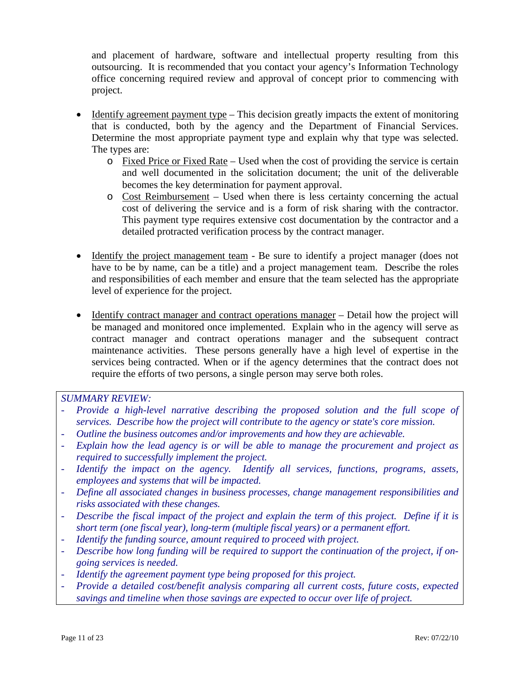and placement of hardware, software and intellectual property resulting from this outsourcing. It is recommended that you contact your agency's Information Technology office concerning required review and approval of concept prior to commencing with project.

- Identify agreement payment type This decision greatly impacts the extent of monitoring that is conducted, both by the agency and the Department of Financial Services. Determine the most appropriate payment type and explain why that type was selected. The types are:
	- o Fixed Price or Fixed Rate Used when the cost of providing the service is certain and well documented in the solicitation document; the unit of the deliverable becomes the key determination for payment approval.
	- o Cost Reimbursement Used when there is less certainty concerning the actual cost of delivering the service and is a form of risk sharing with the contractor. This payment type requires extensive cost documentation by the contractor and a detailed protracted verification process by the contract manager.
- Identify the project management team Be sure to identify a project manager (does not have to be by name, can be a title) and a project management team. Describe the roles and responsibilities of each member and ensure that the team selected has the appropriate level of experience for the project.
- Identify contract manager and contract operations manager Detail how the project will be managed and monitored once implemented. Explain who in the agency will serve as contract manager and contract operations manager and the subsequent contract maintenance activities. These persons generally have a high level of expertise in the services being contracted. When or if the agency determines that the contract does not require the efforts of two persons, a single person may serve both roles.

- *Provide a high-level narrative describing the proposed solution and the full scope of services. Describe how the project will contribute to the agency or state's core mission.*
- *Outline the business outcomes and/or improvements and how they are achievable.*
- *Explain how the lead agency is or will be able to manage the procurement and project as required to successfully implement the project.*
- *Identify the impact on the agency. Identify all services, functions, programs, assets, employees and systems that will be impacted.*
- *Define all associated changes in business processes, change management responsibilities and risks associated with these changes.*
- *Describe the fiscal impact of the project and explain the term of this project. Define if it is short term (one fiscal year), long-term (multiple fiscal years) or a permanent effort.*
- *Identify the funding source, amount required to proceed with project.*
- *Describe how long funding will be required to support the continuation of the project, if ongoing services is needed.*
- *Identify the agreement payment type being proposed for this project.*
- *Provide a detailed cost/benefit analysis comparing all current costs, future costs, expected savings and timeline when those savings are expected to occur over life of project.*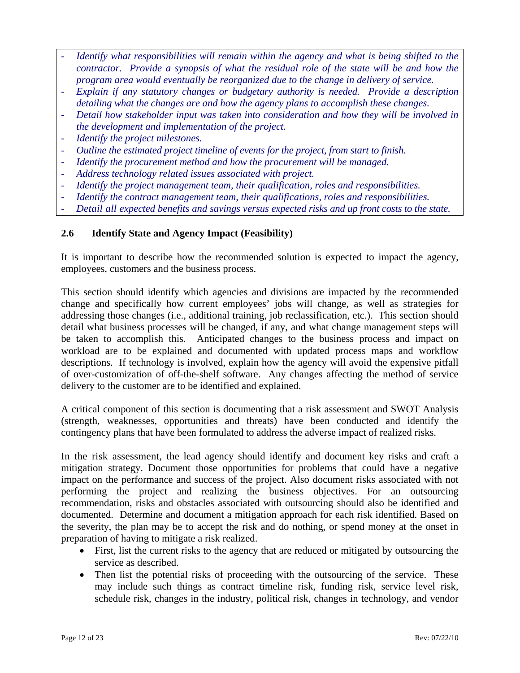- *Identify what responsibilities will remain within the agency and what is being shifted to the contractor. Provide a synopsis of what the residual role of the state will be and how the program area would eventually be reorganized due to the change in delivery of service.*
- *Explain if any statutory changes or budgetary authority is needed. Provide a description detailing what the changes are and how the agency plans to accomplish these changes.*
- *Detail how stakeholder input was taken into consideration and how they will be involved in the development and implementation of the project.*
- *Identify the project milestones.*
- *Outline the estimated project timeline of events for the project, from start to finish.*
- *Identify the procurement method and how the procurement will be managed.*
- *Address technology related issues associated with project.*
- *Identify the project management team, their qualification, roles and responsibilities.*
- *Identify the contract management team, their qualifications, roles and responsibilities.*
- *Detail all expected benefits and savings versus expected risks and up front costs to the state.*

### **2.6 Identify State and Agency Impact (Feasibility)**

It is important to describe how the recommended solution is expected to impact the agency, employees, customers and the business process.

This section should identify which agencies and divisions are impacted by the recommended change and specifically how current employees' jobs will change, as well as strategies for addressing those changes (i.e., additional training, job reclassification, etc.). This section should detail what business processes will be changed, if any, and what change management steps will be taken to accomplish this. Anticipated changes to the business process and impact on workload are to be explained and documented with updated process maps and workflow descriptions. If technology is involved, explain how the agency will avoid the expensive pitfall of over-customization of off-the-shelf software. Any changes affecting the method of service delivery to the customer are to be identified and explained.

A critical component of this section is documenting that a risk assessment and SWOT Analysis (strength, weaknesses, opportunities and threats) have been conducted and identify the contingency plans that have been formulated to address the adverse impact of realized risks.

In the risk assessment, the lead agency should identify and document key risks and craft a mitigation strategy. Document those opportunities for problems that could have a negative impact on the performance and success of the project. Also document risks associated with not performing the project and realizing the business objectives. For an outsourcing recommendation, risks and obstacles associated with outsourcing should also be identified and documented. Determine and document a mitigation approach for each risk identified. Based on the severity, the plan may be to accept the risk and do nothing, or spend money at the onset in preparation of having to mitigate a risk realized.

- First, list the current risks to the agency that are reduced or mitigated by outsourcing the service as described.
- Then list the potential risks of proceeding with the outsourcing of the service. These may include such things as contract timeline risk, funding risk, service level risk, schedule risk, changes in the industry, political risk, changes in technology, and vendor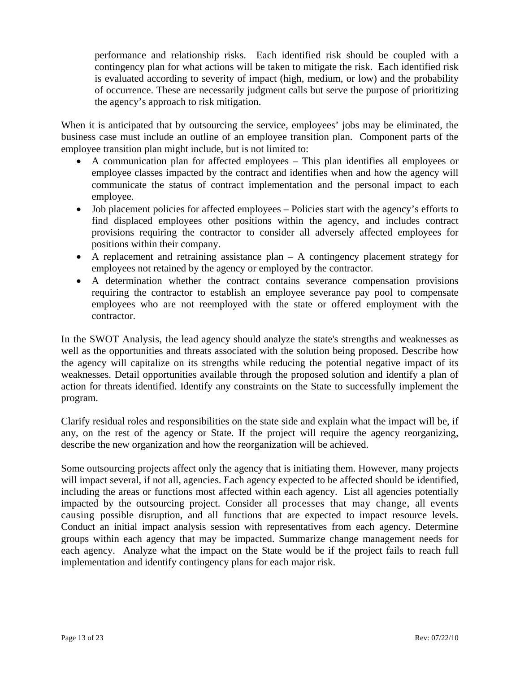performance and relationship risks. Each identified risk should be coupled with a contingency plan for what actions will be taken to mitigate the risk. Each identified risk is evaluated according to severity of impact (high, medium, or low) and the probability of occurrence. These are necessarily judgment calls but serve the purpose of prioritizing the agency's approach to risk mitigation.

When it is anticipated that by outsourcing the service, employees' jobs may be eliminated, the business case must include an outline of an employee transition plan. Component parts of the employee transition plan might include, but is not limited to:

- A communication plan for affected employees This plan identifies all employees or employee classes impacted by the contract and identifies when and how the agency will communicate the status of contract implementation and the personal impact to each employee.
- Job placement policies for affected employees Policies start with the agency's efforts to find displaced employees other positions within the agency, and includes contract provisions requiring the contractor to consider all adversely affected employees for positions within their company.
- A replacement and retraining assistance plan A contingency placement strategy for employees not retained by the agency or employed by the contractor.
- A determination whether the contract contains severance compensation provisions requiring the contractor to establish an employee severance pay pool to compensate employees who are not reemployed with the state or offered employment with the contractor.

In the SWOT Analysis, the lead agency should analyze the state's strengths and weaknesses as well as the opportunities and threats associated with the solution being proposed. Describe how the agency will capitalize on its strengths while reducing the potential negative impact of its weaknesses. Detail opportunities available through the proposed solution and identify a plan of action for threats identified. Identify any constraints on the State to successfully implement the program.

Clarify residual roles and responsibilities on the state side and explain what the impact will be, if any, on the rest of the agency or State. If the project will require the agency reorganizing, describe the new organization and how the reorganization will be achieved.

Some outsourcing projects affect only the agency that is initiating them. However, many projects will impact several, if not all, agencies. Each agency expected to be affected should be identified, including the areas or functions most affected within each agency. List all agencies potentially impacted by the outsourcing project. Consider all processes that may change, all events causing possible disruption, and all functions that are expected to impact resource levels. Conduct an initial impact analysis session with representatives from each agency. Determine groups within each agency that may be impacted. Summarize change management needs for each agency. Analyze what the impact on the State would be if the project fails to reach full implementation and identify contingency plans for each major risk.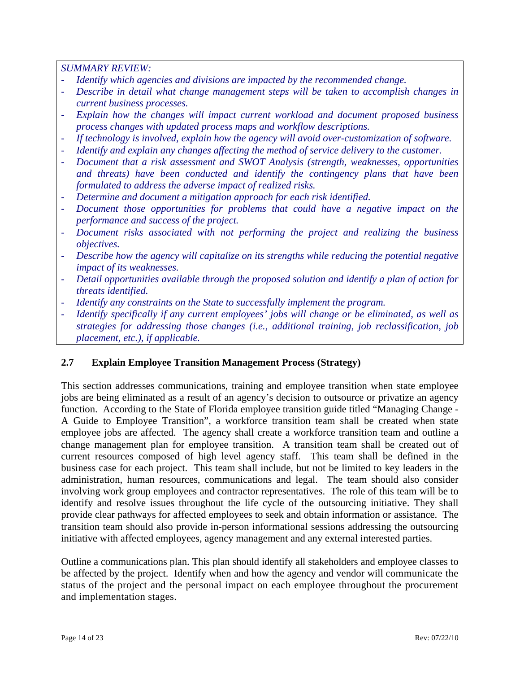*SUMMARY REVIEW:* 

- *Identify which agencies and divisions are impacted by the recommended change.*
- *Describe in detail what change management steps will be taken to accomplish changes in current business processes.*
- *Explain how the changes will impact current workload and document proposed business process changes with updated process maps and workflow descriptions.*
- *If technology is involved, explain how the agency will avoid over-customization of software.*
- *Identify and explain any changes affecting the method of service delivery to the customer.*
- *Document that a risk assessment and SWOT Analysis (strength, weaknesses, opportunities and threats) have been conducted and identify the contingency plans that have been formulated to address the adverse impact of realized risks.*
- *Determine and document a mitigation approach for each risk identified.*
- Document those opportunities for problems that could have a negative impact on the *performance and success of the project.*
- *Document risks associated with not performing the project and realizing the business objectives.*
- *Describe how the agency will capitalize on its strengths while reducing the potential negative impact of its weaknesses.*
- *Detail opportunities available through the proposed solution and identify a plan of action for threats identified.*
- *Identify any constraints on the State to successfully implement the program.*
- *Identify specifically if any current employees' jobs will change or be eliminated, as well as strategies for addressing those changes (i.e., additional training, job reclassification, job placement, etc.), if applicable.*

# **2.7 Explain Employee Transition Management Process (Strategy)**

This section addresses communications, training and employee transition when state employee jobs are being eliminated as a result of an agency's decision to outsource or privatize an agency function. According to the State of Florida employee transition guide titled "Managing Change - A Guide to Employee Transition", a workforce transition team shall be created when state employee jobs are affected. The agency shall create a workforce transition team and outline a change management plan for employee transition. A transition team shall be created out of current resources composed of high level agency staff. This team shall be defined in the business case for each project. This team shall include, but not be limited to key leaders in the administration, human resources, communications and legal. The team should also consider involving work group employees and contractor representatives. The role of this team will be to identify and resolve issues throughout the life cycle of the outsourcing initiative. They shall provide clear pathways for affected employees to seek and obtain information or assistance. The transition team should also provide in-person informational sessions addressing the outsourcing initiative with affected employees, agency management and any external interested parties.

Outline a communications plan. This plan should identify all stakeholders and employee classes to be affected by the project. Identify when and how the agency and vendor will communicate the status of the project and the personal impact on each employee throughout the procurement and implementation stages.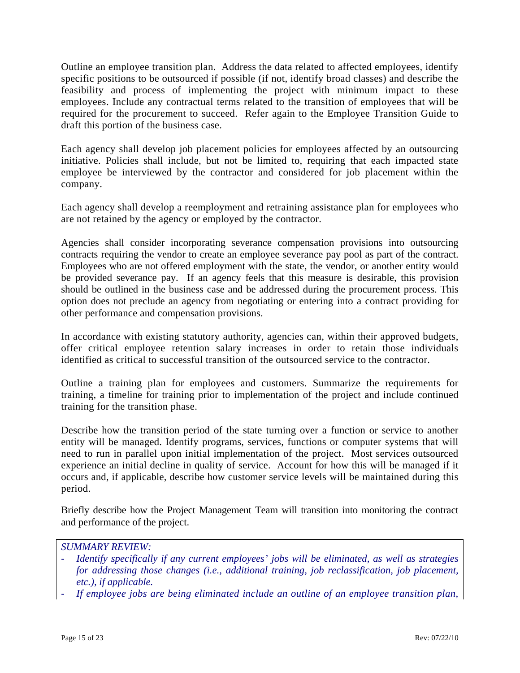Outline an employee transition plan. Address the data related to affected employees, identify specific positions to be outsourced if possible (if not, identify broad classes) and describe the feasibility and process of implementing the project with minimum impact to these employees. Include any contractual terms related to the transition of employees that will be required for the procurement to succeed. Refer again to the Employee Transition Guide to draft this portion of the business case.

Each agency shall develop job placement policies for employees affected by an outsourcing initiative. Policies shall include, but not be limited to, requiring that each impacted state employee be interviewed by the contractor and considered for job placement within the company.

Each agency shall develop a reemployment and retraining assistance plan for employees who are not retained by the agency or employed by the contractor.

Agencies shall consider incorporating severance compensation provisions into outsourcing contracts requiring the vendor to create an employee severance pay pool as part of the contract. Employees who are not offered employment with the state, the vendor, or another entity would be provided severance pay. If an agency feels that this measure is desirable, this provision should be outlined in the business case and be addressed during the procurement process. This option does not preclude an agency from negotiating or entering into a contract providing for other performance and compensation provisions.

In accordance with existing statutory authority, agencies can, within their approved budgets, offer critical employee retention salary increases in order to retain those individuals identified as critical to successful transition of the outsourced service to the contractor.

Outline a training plan for employees and customers. Summarize the requirements for training, a timeline for training prior to implementation of the project and include continued training for the transition phase.

Describe how the transition period of the state turning over a function or service to another entity will be managed. Identify programs, services, functions or computer systems that will need to run in parallel upon initial implementation of the project. Most services outsourced experience an initial decline in quality of service. Account for how this will be managed if it occurs and, if applicable, describe how customer service levels will be maintained during this period.

Briefly describe how the Project Management Team will transition into monitoring the contract and performance of the project.

- *Identify specifically if any current employees' jobs will be eliminated, as well as strategies for addressing those changes (i.e., additional training, job reclassification, job placement, etc.), if applicable.*
- *If employee jobs are being eliminated include an outline of an employee transition plan,*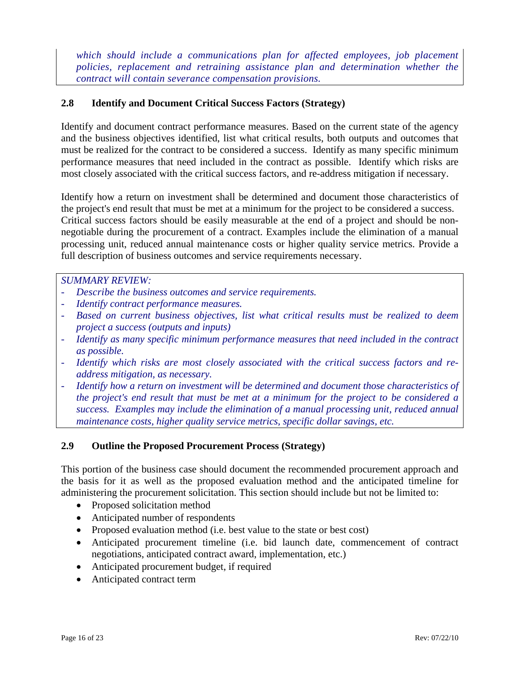which should include a communications plan for affected employees, job placement *policies, replacement and retraining assistance plan and determination whether the contract will contain severance compensation provisions.* 

# **2.8 Identify and Document Critical Success Factors (Strategy)**

Identify and document contract performance measures. Based on the current state of the agency and the business objectives identified, list what critical results, both outputs and outcomes that must be realized for the contract to be considered a success. Identify as many specific minimum performance measures that need included in the contract as possible. Identify which risks are most closely associated with the critical success factors, and re-address mitigation if necessary.

Identify how a return on investment shall be determined and document those characteristics of the project's end result that must be met at a minimum for the project to be considered a success. Critical success factors should be easily measurable at the end of a project and should be nonnegotiable during the procurement of a contract. Examples include the elimination of a manual processing unit, reduced annual maintenance costs or higher quality service metrics. Provide a full description of business outcomes and service requirements necessary.

### *SUMMARY REVIEW:*

- *Describe the business outcomes and service requirements.*
- *Identify contract performance measures.*
- *Based on current business objectives, list what critical results must be realized to deem project a success (outputs and inputs)*
- *Identify as many specific minimum performance measures that need included in the contract as possible.*
- Identify which risks are most closely associated with the critical success factors and re*address mitigation, as necessary.*
- *Identify how a return on investment will be determined and document those characteristics of the project's end result that must be met at a minimum for the project to be considered a success. Examples may include the elimination of a manual processing unit, reduced annual maintenance costs, higher quality service metrics, specific dollar savings, etc.*

# **2.9 Outline the Proposed Procurement Process (Strategy)**

This portion of the business case should document the recommended procurement approach and the basis for it as well as the proposed evaluation method and the anticipated timeline for administering the procurement solicitation. This section should include but not be limited to:

- Proposed solicitation method
- Anticipated number of respondents
- Proposed evaluation method (i.e. best value to the state or best cost)
- Anticipated procurement timeline (i.e. bid launch date, commencement of contract negotiations, anticipated contract award, implementation, etc.)
- Anticipated procurement budget, if required
- Anticipated contract term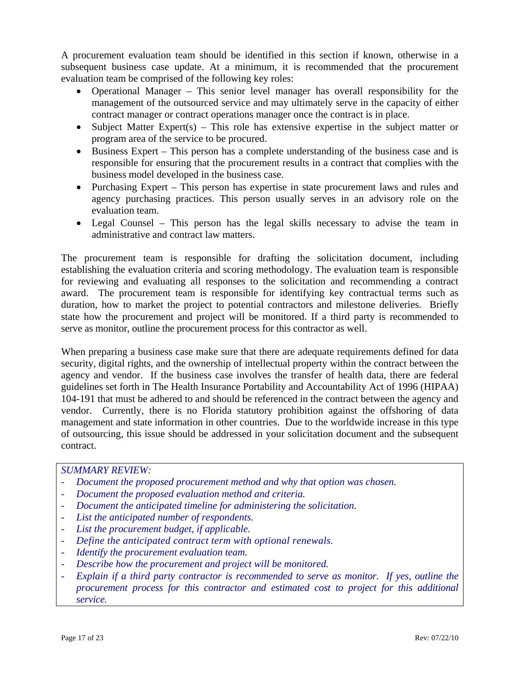A procurement evaluation team should be identified in this section if known, otherwise in a subsequent business case update. At a minimum, it is recommended that the procurement evaluation team be comprised of the following key roles:

- Operational Manager This senior level manager has overall responsibility for the management of the outsourced service and may ultimately serve in the capacity of either contract manager or contract operations manager once the contract is in place.
- Subject Matter Expert(s) This role has extensive expertise in the subject matter or program area of the service to be procured.
- Business Expert This person has a complete understanding of the business case and is responsible for ensuring that the procurement results in a contract that complies with the business model developed in the business case.
- Purchasing Expert This person has expertise in state procurement laws and rules and agency purchasing practices. This person usually serves in an advisory role on the evaluation team.
- Legal Counsel This person has the legal skills necessary to advise the team in administrative and contract law matters.

The procurement team is responsible for drafting the solicitation document, including establishing the evaluation criteria and scoring methodology. The evaluation team is responsible for reviewing and evaluating all responses to the solicitation and recommending a contract award. The procurement team is responsible for identifying key contractual terms such as duration, how to market the project to potential contractors and milestone deliveries. Briefly state how the procurement and project will be monitored. If a third party is recommended to serve as monitor, outline the procurement process for this contractor as well.

When preparing a business case make sure that there are adequate requirements defined for data security, digital rights, and the ownership of intellectual property within the contract between the agency and vendor. If the business case involves the transfer of health data, there are federal guidelines set forth in The Health Insurance Portability and Accountability Act of 1996 (HIPAA) 104-191 that must be adhered to and should be referenced in the contract between the agency and vendor. Currently, there is no Florida statutory prohibition against the offshoring of data management and state information in other countries. Due to the worldwide increase in this type of outsourcing, this issue should be addressed in your solicitation document and the subsequent contract.

- *Document the proposed procurement method and why that option was chosen.*
- *Document the proposed evaluation method and criteria.*
- *Document the anticipated timeline for administering the solicitation.*
- *List the anticipated number of respondents.*
- List the procurement budget, if applicable.
- *Define the anticipated contract term with optional renewals.*
- *Identify the procurement evaluation team.*
- *Describe how the procurement and project will be monitored.*
- *Explain if a third party contractor is recommended to serve as monitor. If yes, outline the procurement process for this contractor and estimated cost to project for this additional service.*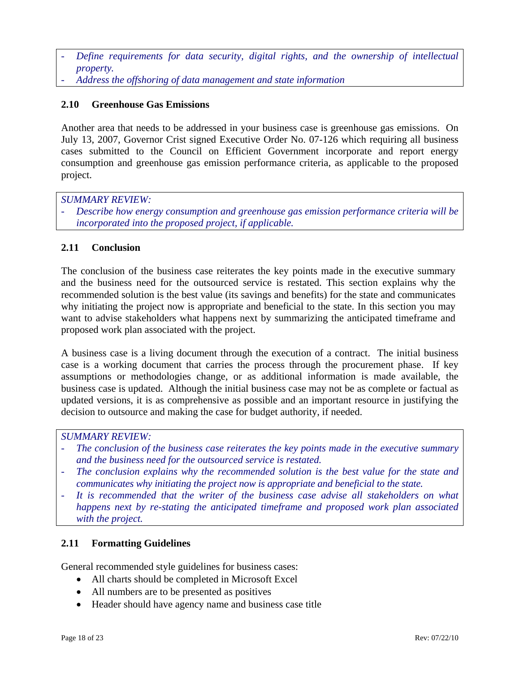- Define requirements for data security, digital rights, and the ownership of intellectual *property.*
- *Address the offshoring of data management and state information*

### **2.10 Greenhouse Gas Emissions**

Another area that needs to be addressed in your business case is greenhouse gas emissions. On July 13, 2007, Governor Crist signed Executive Order No. 07-126 which requiring all business cases submitted to the Council on Efficient Government incorporate and report energy consumption and greenhouse gas emission performance criteria, as applicable to the proposed project.

*SUMMARY REVIEW:* 

- *Describe how energy consumption and greenhouse gas emission performance criteria will be incorporated into the proposed project, if applicable.* 

### **2.11 Conclusion**

The conclusion of the business case reiterates the key points made in the executive summary and the business need for the outsourced service is restated. This section explains why the recommended solution is the best value (its savings and benefits) for the state and communicates why initiating the project now is appropriate and beneficial to the state. In this section you may want to advise stakeholders what happens next by summarizing the anticipated timeframe and proposed work plan associated with the project.

A business case is a living document through the execution of a contract. The initial business case is a working document that carries the process through the procurement phase. If key assumptions or methodologies change, or as additional information is made available, the business case is updated. Although the initial business case may not be as complete or factual as updated versions, it is as comprehensive as possible and an important resource in justifying the decision to outsource and making the case for budget authority, if needed.

### *SUMMARY REVIEW:*

- The conclusion of the business case reiterates the key points made in the executive summary *and the business need for the outsourced service is restated.*
- The conclusion explains why the recommended solution is the best value for the state and *communicates why initiating the project now is appropriate and beneficial to the state.*
- It is recommended that the writer of the business case advise all stakeholders on what *happens next by re-stating the anticipated timeframe and proposed work plan associated with the project.*

### **2.11 Formatting Guidelines**

General recommended style guidelines for business cases:

- All charts should be completed in Microsoft Excel
- All numbers are to be presented as positives
- Header should have agency name and business case title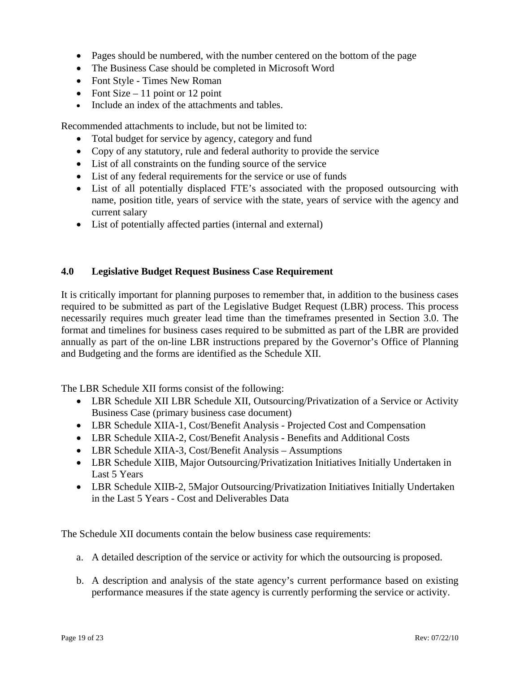- Pages should be numbered, with the number centered on the bottom of the page
- The Business Case should be completed in Microsoft Word
- Font Style Times New Roman
- Font Size 11 point or 12 point
- Include an index of the attachments and tables.

Recommended attachments to include, but not be limited to:

- Total budget for service by agency, category and fund
- Copy of any statutory, rule and federal authority to provide the service
- List of all constraints on the funding source of the service
- List of any federal requirements for the service or use of funds
- List of all potentially displaced FTE's associated with the proposed outsourcing with name, position title, years of service with the state, years of service with the agency and current salary
- List of potentially affected parties (internal and external)

### **4.0 Legislative Budget Request Business Case Requirement**

It is critically important for planning purposes to remember that, in addition to the business cases required to be submitted as part of the Legislative Budget Request (LBR) process. This process necessarily requires much greater lead time than the timeframes presented in Section 3.0. The format and timelines for business cases required to be submitted as part of the LBR are provided annually as part of the on-line LBR instructions prepared by the Governor's Office of Planning and Budgeting and the forms are identified as the Schedule XII.

The LBR Schedule XII forms consist of the following:

- LBR Schedule XII LBR Schedule XII, Outsourcing/Privatization of a Service or Activity Business Case (primary business case document)
- LBR Schedule XIIA-1, Cost/Benefit Analysis Projected Cost and Compensation
- LBR Schedule XIIA-2, Cost/Benefit Analysis Benefits and Additional Costs
- LBR Schedule XIIA-3, Cost/Benefit Analysis Assumptions
- LBR Schedule XIIB, Major Outsourcing/Privatization Initiatives Initially Undertaken in Last 5 Years
- LBR Schedule XIIB-2, 5Major Outsourcing/Privatization Initiatives Initially Undertaken in the Last 5 Years - Cost and Deliverables Data

The Schedule XII documents contain the below business case requirements:

- a. A detailed description of the service or activity for which the outsourcing is proposed.
- b. A description and analysis of the state agency's current performance based on existing performance measures if the state agency is currently performing the service or activity.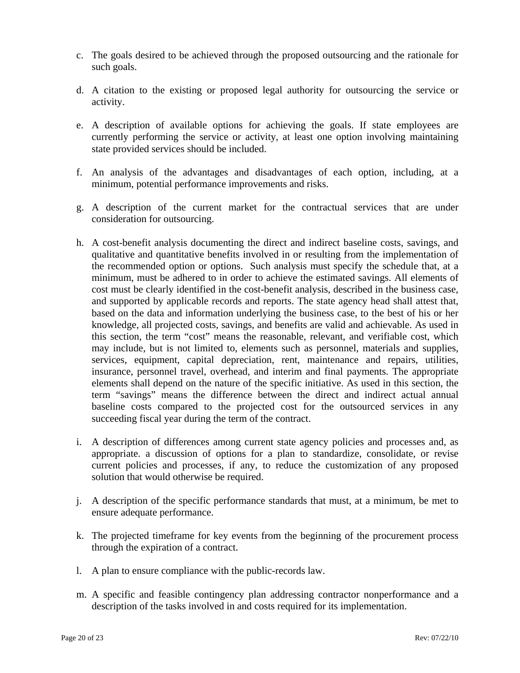- c. The goals desired to be achieved through the proposed outsourcing and the rationale for such goals.
- d. A citation to the existing or proposed legal authority for outsourcing the service or activity.
- e. A description of available options for achieving the goals. If state employees are currently performing the service or activity, at least one option involving maintaining state provided services should be included.
- f. An analysis of the advantages and disadvantages of each option, including, at a minimum, potential performance improvements and risks.
- g. A description of the current market for the contractual services that are under consideration for outsourcing.
- h. A cost-benefit analysis documenting the direct and indirect baseline costs, savings, and qualitative and quantitative benefits involved in or resulting from the implementation of the recommended option or options. Such analysis must specify the schedule that, at a minimum, must be adhered to in order to achieve the estimated savings. All elements of cost must be clearly identified in the cost-benefit analysis, described in the business case, and supported by applicable records and reports. The state agency head shall attest that, based on the data and information underlying the business case, to the best of his or her knowledge, all projected costs, savings, and benefits are valid and achievable. As used in this section, the term "cost" means the reasonable, relevant, and verifiable cost, which may include, but is not limited to, elements such as personnel, materials and supplies, services, equipment, capital depreciation, rent, maintenance and repairs, utilities, insurance, personnel travel, overhead, and interim and final payments. The appropriate elements shall depend on the nature of the specific initiative. As used in this section, the term "savings" means the difference between the direct and indirect actual annual baseline costs compared to the projected cost for the outsourced services in any succeeding fiscal year during the term of the contract.
- i. A description of differences among current state agency policies and processes and, as appropriate. a discussion of options for a plan to standardize, consolidate, or revise current policies and processes, if any, to reduce the customization of any proposed solution that would otherwise be required.
- j. A description of the specific performance standards that must, at a minimum, be met to ensure adequate performance.
- k. The projected timeframe for key events from the beginning of the procurement process through the expiration of a contract.
- l. A plan to ensure compliance with the public-records law.
- m. A specific and feasible contingency plan addressing contractor nonperformance and a description of the tasks involved in and costs required for its implementation.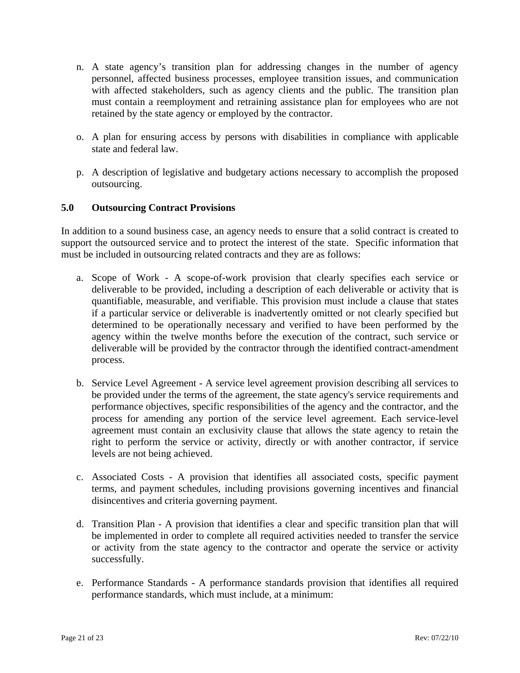- n. A state agency's transition plan for addressing changes in the number of agency personnel, affected business processes, employee transition issues, and communication with affected stakeholders, such as agency clients and the public. The transition plan must contain a reemployment and retraining assistance plan for employees who are not retained by the state agency or employed by the contractor.
- o. A plan for ensuring access by persons with disabilities in compliance with applicable state and federal law.
- p. A description of legislative and budgetary actions necessary to accomplish the proposed outsourcing.

### **5.0 Outsourcing Contract Provisions**

In addition to a sound business case, an agency needs to ensure that a solid contract is created to support the outsourced service and to protect the interest of the state. Specific information that must be included in outsourcing related contracts and they are as follows:

- a. Scope of Work A scope-of-work provision that clearly specifies each service or deliverable to be provided, including a description of each deliverable or activity that is quantifiable, measurable, and verifiable. This provision must include a clause that states if a particular service or deliverable is inadvertently omitted or not clearly specified but determined to be operationally necessary and verified to have been performed by the agency within the twelve months before the execution of the contract, such service or deliverable will be provided by the contractor through the identified contract-amendment process.
- b. Service Level Agreement A service level agreement provision describing all services to be provided under the terms of the agreement, the state agency's service requirements and performance objectives, specific responsibilities of the agency and the contractor, and the process for amending any portion of the service level agreement. Each service-level agreement must contain an exclusivity clause that allows the state agency to retain the right to perform the service or activity, directly or with another contractor, if service levels are not being achieved.
- c. Associated Costs A provision that identifies all associated costs, specific payment terms, and payment schedules, including provisions governing incentives and financial disincentives and criteria governing payment.
- d. Transition Plan A provision that identifies a clear and specific transition plan that will be implemented in order to complete all required activities needed to transfer the service or activity from the state agency to the contractor and operate the service or activity successfully.
- e. Performance Standards A performance standards provision that identifies all required performance standards, which must include, at a minimum: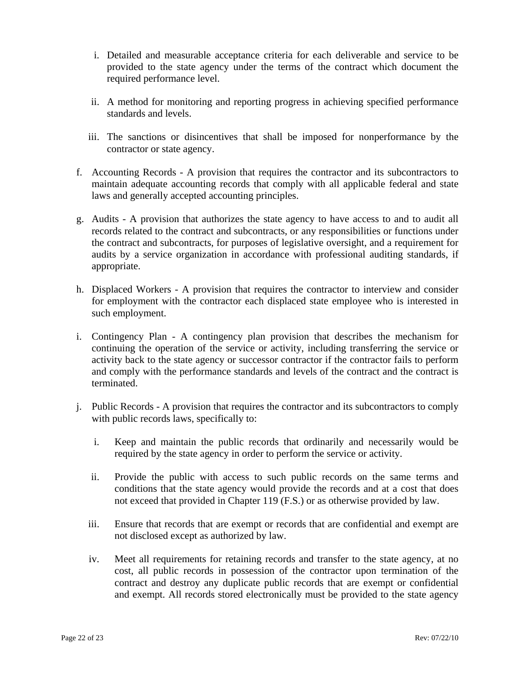- i. Detailed and measurable acceptance criteria for each deliverable and service to be provided to the state agency under the terms of the contract which document the required performance level.
- ii. A method for monitoring and reporting progress in achieving specified performance standards and levels.
- iii. The sanctions or disincentives that shall be imposed for nonperformance by the contractor or state agency.
- f. Accounting Records A provision that requires the contractor and its subcontractors to maintain adequate accounting records that comply with all applicable federal and state laws and generally accepted accounting principles.
- g. Audits A provision that authorizes the state agency to have access to and to audit all records related to the contract and subcontracts, or any responsibilities or functions under the contract and subcontracts, for purposes of legislative oversight, and a requirement for audits by a service organization in accordance with professional auditing standards, if appropriate.
- h. Displaced Workers A provision that requires the contractor to interview and consider for employment with the contractor each displaced state employee who is interested in such employment.
- i. Contingency Plan A contingency plan provision that describes the mechanism for continuing the operation of the service or activity, including transferring the service or activity back to the state agency or successor contractor if the contractor fails to perform and comply with the performance standards and levels of the contract and the contract is terminated.
- j. Public Records A provision that requires the contractor and its subcontractors to comply with public records laws, specifically to:
	- i. Keep and maintain the public records that ordinarily and necessarily would be required by the state agency in order to perform the service or activity.
	- ii. Provide the public with access to such public records on the same terms and conditions that the state agency would provide the records and at a cost that does not exceed that provided in Chapter 119 (F.S.) or as otherwise provided by law.
	- iii. Ensure that records that are exempt or records that are confidential and exempt are not disclosed except as authorized by law.
	- iv. Meet all requirements for retaining records and transfer to the state agency, at no cost, all public records in possession of the contractor upon termination of the contract and destroy any duplicate public records that are exempt or confidential and exempt. All records stored electronically must be provided to the state agency